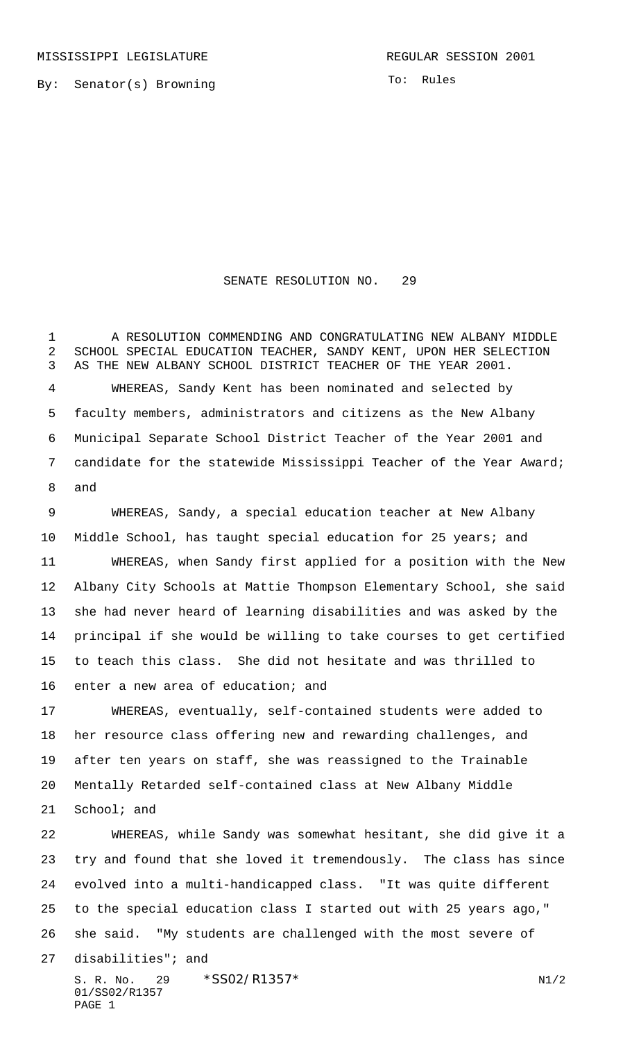MISSISSIPPI LEGISLATURE **REGULAR SESSION 2001** 

By: Senator(s) Browning

To: Rules

## SENATE RESOLUTION NO. 29

 A RESOLUTION COMMENDING AND CONGRATULATING NEW ALBANY MIDDLE SCHOOL SPECIAL EDUCATION TEACHER, SANDY KENT, UPON HER SELECTION AS THE NEW ALBANY SCHOOL DISTRICT TEACHER OF THE YEAR 2001. WHEREAS, Sandy Kent has been nominated and selected by faculty members, administrators and citizens as the New Albany Municipal Separate School District Teacher of the Year 2001 and candidate for the statewide Mississippi Teacher of the Year Award; and

 WHEREAS, Sandy, a special education teacher at New Albany Middle School, has taught special education for 25 years; and WHEREAS, when Sandy first applied for a position with the New Albany City Schools at Mattie Thompson Elementary School, she said she had never heard of learning disabilities and was asked by the principal if she would be willing to take courses to get certified to teach this class. She did not hesitate and was thrilled to enter a new area of education; and

 WHEREAS, eventually, self-contained students were added to her resource class offering new and rewarding challenges, and after ten years on staff, she was reassigned to the Trainable Mentally Retarded self-contained class at New Albany Middle

School; and

 WHEREAS, while Sandy was somewhat hesitant, she did give it a try and found that she loved it tremendously. The class has since evolved into a multi-handicapped class. "It was quite different to the special education class I started out with 25 years ago," she said. "My students are challenged with the most severe of disabilities"; and

S. R. No. 29  $*SS02/R1357*$  N1/2 01/SS02/R1357 PAGE 1